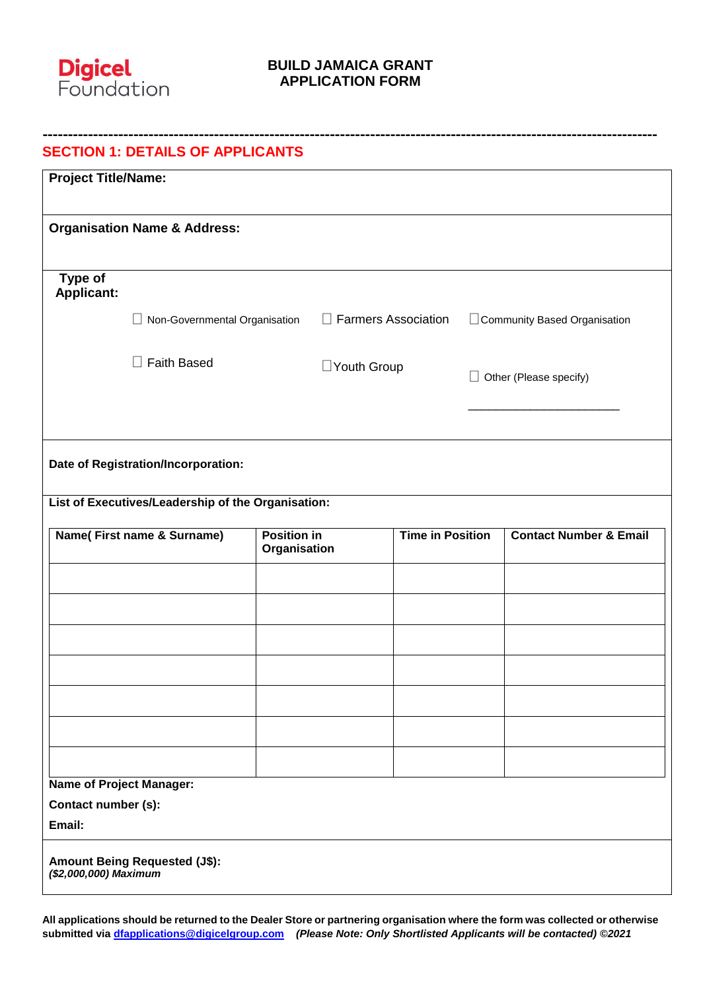

| <b>Project Title/Name:</b>   |                                                                                  |                    |                            |                         |                             |                                   |
|------------------------------|----------------------------------------------------------------------------------|--------------------|----------------------------|-------------------------|-----------------------------|-----------------------------------|
|                              | <b>Organisation Name &amp; Address:</b>                                          |                    |                            |                         |                             |                                   |
| Type of<br><b>Applicant:</b> |                                                                                  |                    |                            |                         |                             |                                   |
|                              | $\Box$ Non-Governmental Organisation                                             |                    | $\Box$ Farmers Association |                         |                             | Community Based Organisation      |
|                              | <b>Faith Based</b><br>$\perp$                                                    |                    | □Youth Group               |                         | Other (Please specify)<br>П |                                   |
|                              | Date of Registration/Incorporation:                                              |                    |                            |                         |                             |                                   |
|                              | List of Executives/Leadership of the Organisation:<br>Name(First name & Surname) | <b>Position in</b> |                            | <b>Time in Position</b> |                             | <b>Contact Number &amp; Email</b> |
|                              |                                                                                  | Organisation       |                            |                         |                             |                                   |
|                              |                                                                                  |                    |                            |                         |                             |                                   |
|                              |                                                                                  |                    |                            |                         |                             |                                   |
|                              |                                                                                  |                    |                            |                         |                             |                                   |
|                              |                                                                                  |                    |                            |                         |                             |                                   |
|                              | <b>Name of Project Manager:</b>                                                  |                    |                            |                         |                             |                                   |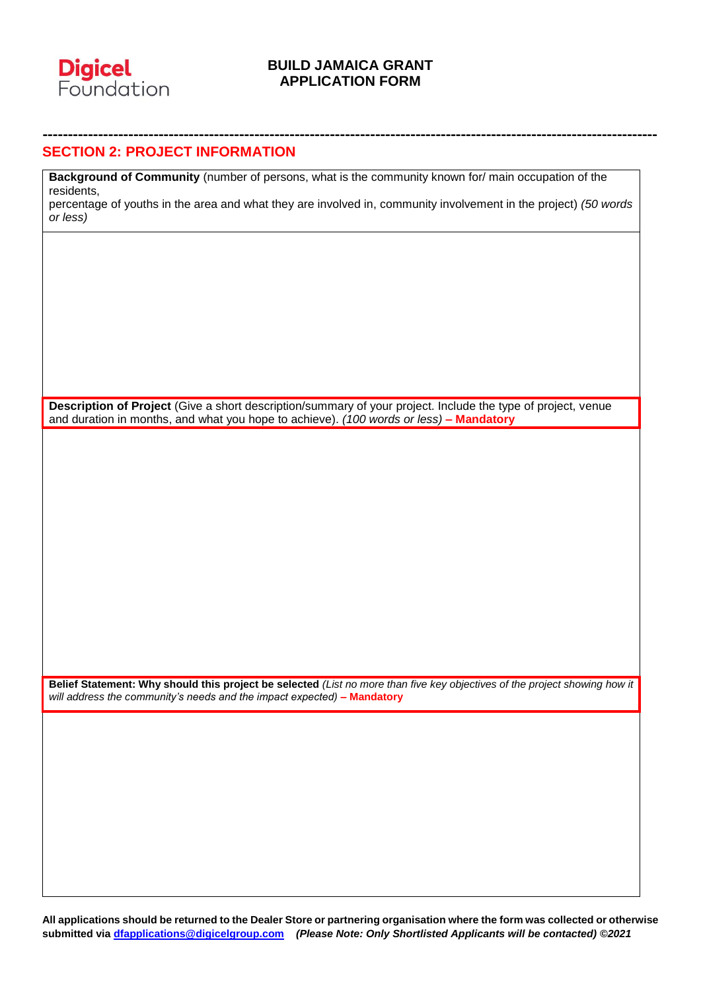

**--------------------------------------------------------------------------------------------------------------------------**

#### **SECTION 2: PROJECT INFORMATION**

**Background of Community** (number of persons, what is the community known for/ main occupation of the residents,

percentage of youths in the area and what they are involved in, community involvement in the project) *(50 words or less)*

**Description of Project** (Give a short description/summary of your project. Include the type of project, venue and duration in months, and what you hope to achieve). *(100 words or less)* **– Mandatory**

**Belief Statement: Why should this project be selected** *(List no more than five key objectives of the project showing how it will address the community's needs and the impact expected)* **– Mandatory**

**All applications should be returned to the Dealer Store or partnering organisation where the form was collected or otherwise submitted via [dfapplications@digicelgroup.com](mailto:dfapplications@digicelgroup.com)** *(Please Note: Only Shortlisted Applicants will be contacted) ©2021*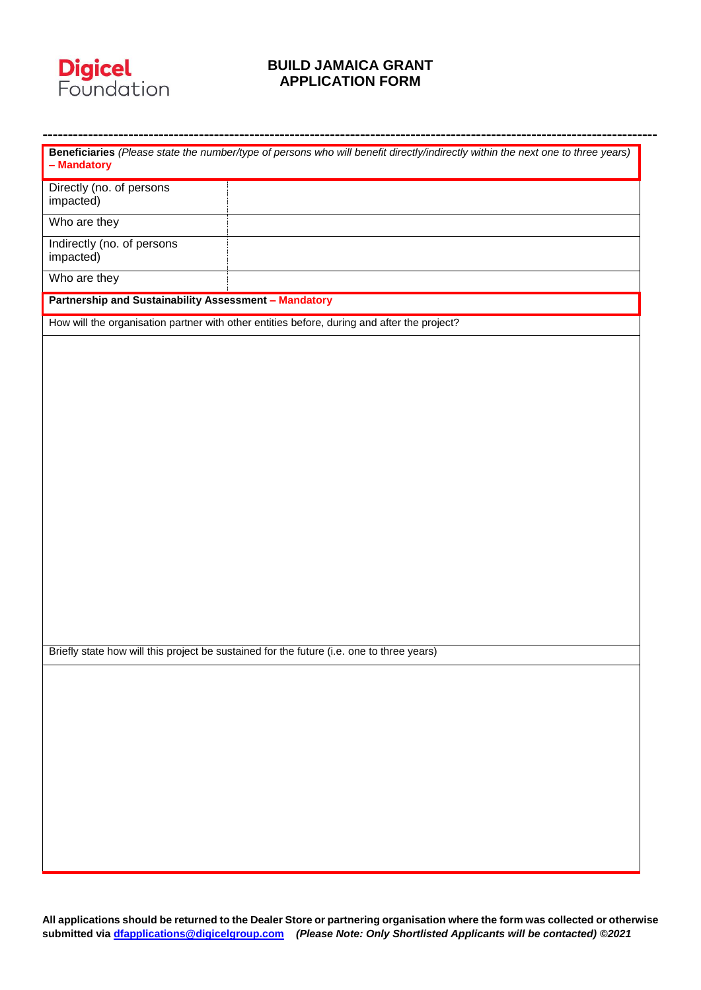

| - Mandatory                                                  | Beneficiaries (Please state the number/type of persons who will benefit directly/indirectly within the next one to three years) |
|--------------------------------------------------------------|---------------------------------------------------------------------------------------------------------------------------------|
| Directly (no. of persons<br>impacted)                        |                                                                                                                                 |
| Who are they                                                 |                                                                                                                                 |
| Indirectly (no. of persons<br>impacted)                      |                                                                                                                                 |
| Who are they                                                 |                                                                                                                                 |
| <b>Partnership and Sustainability Assessment - Mandatory</b> |                                                                                                                                 |
|                                                              | How will the organisation partner with other entities before, during and after the project?                                     |
|                                                              |                                                                                                                                 |
|                                                              |                                                                                                                                 |
|                                                              |                                                                                                                                 |
|                                                              |                                                                                                                                 |
|                                                              |                                                                                                                                 |
|                                                              |                                                                                                                                 |
|                                                              |                                                                                                                                 |
|                                                              |                                                                                                                                 |
|                                                              |                                                                                                                                 |
|                                                              |                                                                                                                                 |
|                                                              |                                                                                                                                 |
|                                                              |                                                                                                                                 |
|                                                              |                                                                                                                                 |
|                                                              |                                                                                                                                 |
|                                                              |                                                                                                                                 |
|                                                              | Briefly state how will this project be sustained for the future (i.e. one to three years)                                       |
|                                                              |                                                                                                                                 |
|                                                              |                                                                                                                                 |
|                                                              |                                                                                                                                 |
|                                                              |                                                                                                                                 |
|                                                              |                                                                                                                                 |
|                                                              |                                                                                                                                 |
|                                                              |                                                                                                                                 |
|                                                              |                                                                                                                                 |
|                                                              |                                                                                                                                 |
|                                                              |                                                                                                                                 |
|                                                              |                                                                                                                                 |

**All applications should be returned to the Dealer Store or partnering organisation where the form was collected or otherwise submitted via [dfapplications@digicelgroup.com](mailto:dfapplications@digicelgroup.com)** *(Please Note: Only Shortlisted Applicants will be contacted) ©2021*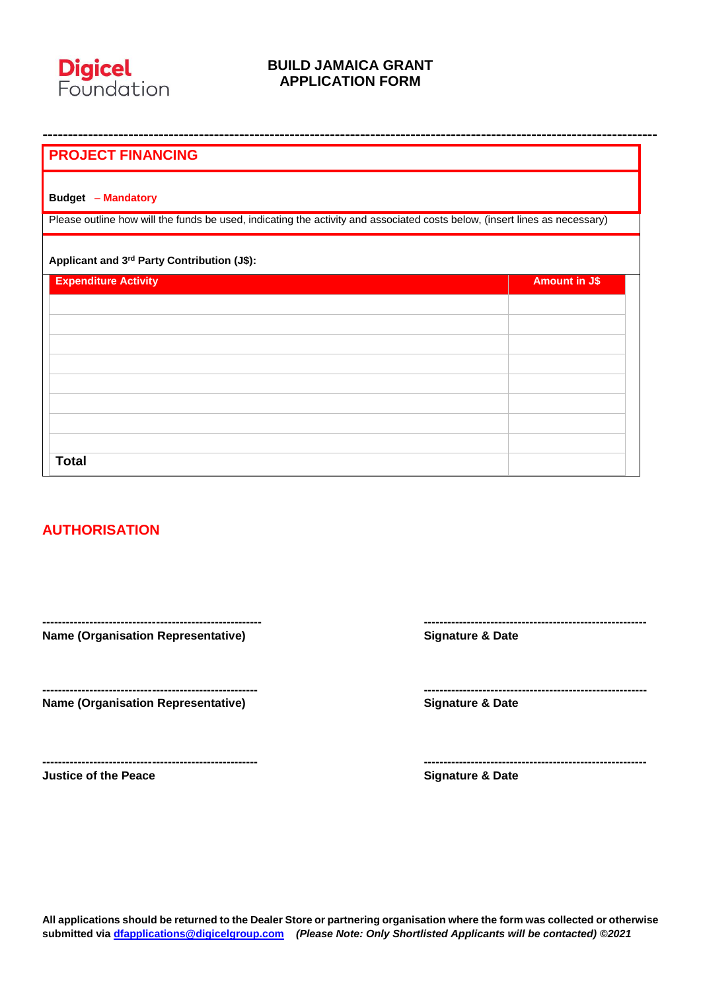

| <b>PROJECT FINANCING</b>                                                                                                   |                      |
|----------------------------------------------------------------------------------------------------------------------------|----------------------|
| <b>Budget - Mandatory</b>                                                                                                  |                      |
| Please outline how will the funds be used, indicating the activity and associated costs below, (insert lines as necessary) |                      |
| Applicant and 3rd Party Contribution (J\$):                                                                                |                      |
| <b>Expenditure Activity</b>                                                                                                | <b>Amount in J\$</b> |
|                                                                                                                            |                      |
|                                                                                                                            |                      |
|                                                                                                                            |                      |
|                                                                                                                            |                      |
|                                                                                                                            |                      |
|                                                                                                                            |                      |
|                                                                                                                            |                      |
| <b>Total</b>                                                                                                               |                      |

# **AUTHORISATION**

**-------------------------------------------------------- --------------------------------------------------------- Name (Organisation Representative) Signature & Date**

**Name (Organisation Representative) Signature & Date**

**Justice of the Peace Signature & Date**

**------------------------------------------------------- ---------------------------------------------------------**

**------------------------------------------------------- ---------------------------------------------------------**